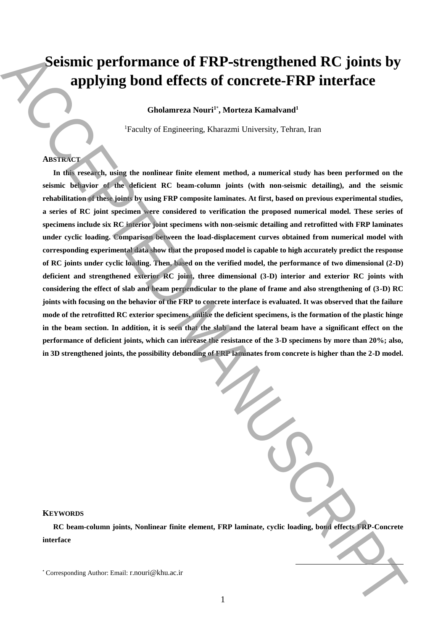# **Seismic performance of FRP-strengthened RC joints by applying bond effects of concrete-FRP interface**

**Gholamreza Nouri<sup>1</sup>**\* **, Morteza Kamalvand<sup>1</sup>**

<sup>1</sup>Faculty of Engineering, Kharazmi University, Tehran, Iran

## **ABSTRACT**

**In this research, using the nonlinear finite element method, a numerical study has been performed on the seismic behavior of the deficient RC beam-column joints (with non-seismic detailing), and the seismic rehabilitation of these joints by using FRP composite laminates. At first, based on previous experimental studies, a series of RC joint specimen were considered to verification the proposed numerical model. These series of specimens include six RC interior joint specimens with non-seismic detailing and retrofitted with FRP laminates under cyclic loading. Comparison between the load-displacement curves obtained from numerical model with corresponding experimental data show that the proposed model is capable to high accurately predict the response of RC joints under cyclic loading. Then, based on the verified model, the performance of two dimensional (2-D) deficient and strengthened exterior RC joint, three dimensional (3-D) interior and exterior RC joints with considering the effect of slab and beam perpendicular to the plane of frame and also strengthening of (3-D) RC joints with focusing on the behavior of the FRP to concrete interface is evaluated. It was observed that the failure mode of the retrofitted RC exterior specimens, unlike the deficient specimens, is the formation of the plastic hinge**  in the beam section. In addition, it is seen that the slab and the lateral beam have a significant effect on the **performance of deficient joints, which can increase the resistance of the 3-D specimens by more than 20%; also, in 3D strengthened joints, the possibility debonding of FRP laminates from concrete is higher than the 2-D model.** Seismoir performance of FRP-strengthened RC joints by<br>applying bond effects of concrete-FRP interface<br>distances Non-Correlate-FRP interface<br>distances Non-Correlate-FRP interface<br>the distance of  $W_1$  and  $W_2$  and  $W_3$  a

## **KEYWORDS**

**RC beam-column joints, Nonlinear finite element, FRP laminate, cyclic loading, bond effects FRP-Concrete interface**

**.**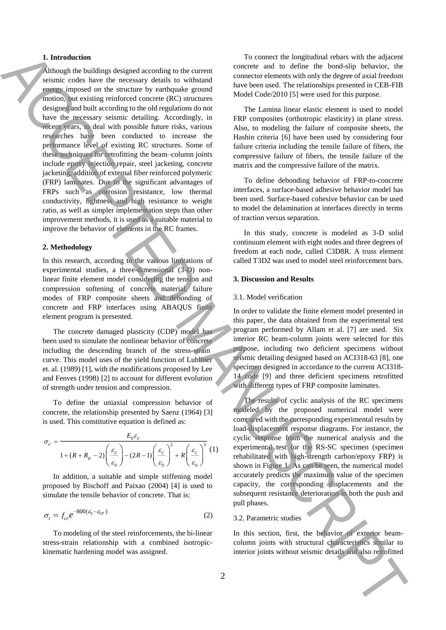## **1. Introduction**

Although the buildings designed according to the current seismic codes have the necessary details to withstand energy imposed on the structure by earthquake ground motion, but existing reinforced concrete (RC) structures designed and built according to the old regulations do not have the necessary seismic detailing. Accordingly, in recent years, to deal with possible future risks, various researches have been conducted to increase the performance level of existing RC structures. Some of these techniques for retrofitting the beam–column joints include epoxy injection repair, steel jacketing, concrete jacketing, addition of external fiber reinforced polymeric (FRP) laminates. Due to the significant advantages of FRPs such as corrosion resistance, low thermal conductivity, lightness and high resistance to weight ratio, as well as simpler implementation steps than other improvement methods, it is used as a suitable material to improve the behavior of elements in the RC frames. **1.** Interesting to the system projection of the system is the system in the system in the system of the system in the system of the system in the system in the system in the system in the system in the system in the syst

#### **2. Methodology**

In this research, according to the various limitations of experimental studies, a three-dimensional (3-D) nonlinear finite element model considering the tension and compression softening of concrete material, failure modes of FRP composite sheets and debonding of concrete and FRP interfaces using ABAQUS finite element program is presented.

The concrete damaged plasticity (CDP) model has been used to simulate the nonlinear behavior of concrete including the descending branch of the stress-strain curve. This model uses of the yield function of Lubliner et. al. (1989) [1], with the modifications proposed by Lee and Fenves (1998) [2] to account for different evolution of strength under tension and compression.

To define the uniaxial compression behavior of concrete, the relationship presented by Saenz (1964) [3] is used. This constitutive equation is defined as:

$$
\sigma_c = \frac{E_0 \varepsilon_c}{1 + (R + R_E - 2) \left(\frac{\varepsilon_c}{\varepsilon_0}\right) - (2R - 1) \left(\frac{\varepsilon_c}{\varepsilon_0}\right)^2 + R \left(\frac{\varepsilon_c}{\varepsilon_0}\right)^3} (1)
$$

In addition, a suitable and simple stiffening model proposed by Bischoff and Paixao (2004) [4] is used to simulate the tensile behavior of concrete. That is:

$$
\sigma_t = f_{cr} e^{-800(\varepsilon_t - \varepsilon_{cr})}
$$
\n(2)

To modeling of the steel reinforcements, the bi-linear stress-strain relationship with a combined isotropickinematic hardening model was assigned.

To connect the longitudinal rebars with the adjacent concrete and to define the bond-slip behavior, the connector elements with only the degree of axial freedom have been used. The relationships presented in CEB-FIB Model Code/2010 [5] were used for this purpose.

The Lamina linear elastic element is used to model FRP composites (orthotropic elasticity) in plane stress. Also, to modeling the failure of composite sheets, the Hashin criteria [6] have been used by considering four failure criteria including the tensile failure of fibers, the compressive failure of fibers, the tensile failure of the matrix and the compressive failure of the matrix.

To define debonding behavior of FRP-to-concrete interfaces, a surface-based adhesive behavior model has been used. Surface-based cohesive behavior can be used to model the delamination at interfaces directly in terms of traction versus separation.

In this study, concrete is modeled as 3-D solid continuum element with eight nodes and three degrees of freedom at each node, called C3D8R. A truss element called T3D2 was used to model steel reinforcement bars.

#### **3. Discussion and Results**

#### 3.1. Model verification

In order to validate the finite element model presented in this paper, the data obtained from the experimental test program performed by Allam et al. [7] are used. Six interior RC beam-column joints were selected for this purpose, including two deficient specimens without seismic detailing designed based on ACI318-63 [8], one specimen designed in accordance to the current ACI318- 14 code [9] and three deficient specimens retrofitted with different types of FRP composite laminates.

The results of cyclic analysis of the RC specimens modeled by the proposed numerical model were compared with the corresponding experimental results by load-displacement response diagrams. For instance, the cyclic response from the numerical analysis and the experimental test for the RS-SC specimen (specimen rehabilitated with high-strength carbon/epoxy FRP) is shown in Figure 1. As can be seen, the numerical model accurately predicts the maximum value of the specimen capacity, the corresponding displacements and the subsequent resistance deterioration in both the push and pull phases.

## 3.2. Parametric studies

In this section, first, the behavior of exterior beamcolumn joints with structural characteristics similar to interior joints without seismic details and also retrofitted